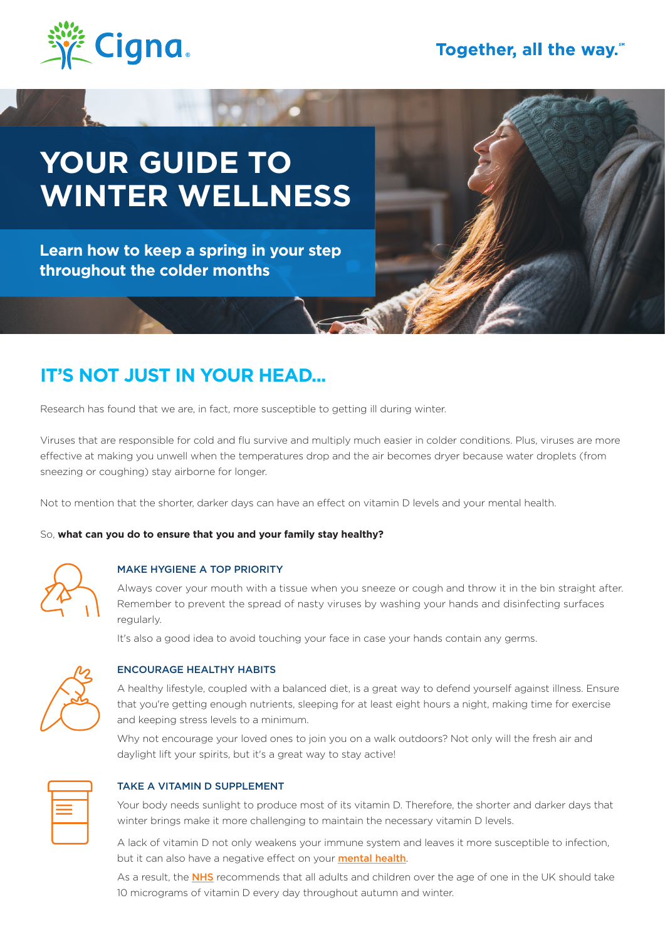

# **YOUR GUIDE TO WINTER WELLNESS**

**Learn how to keep a spring in your step throughout the colder months**

## **IT'S NOT JUST IN YOUR HEAD...**

Research has found that we are, in fact, more susceptible to getting ill during winter.

Viruses that are responsible for cold and flu survive and multiply much easier in colder conditions. Plus, viruses are more effective at making you unwell when the temperatures drop and the air becomes dryer because water droplets (from sneezing or coughing) stay airborne for longer.

Not to mention that the shorter, darker days can have an effect on vitamin D levels and your mental health.

#### So, **what can you do to ensure that you and your family stay healthy?**



#### MAKE HYGIENE A TOP PRIORITY

Always cover your mouth with a tissue when you sneeze or cough and throw it in the bin straight after. Remember to prevent the spread of nasty viruses by washing your hands and disinfecting surfaces regularly.

It's also a good idea to avoid touching your face in case your hands contain any germs.



#### ENCOURAGE HEALTHY HABITS

A healthy lifestyle, coupled with a balanced diet, is a great way to defend yourself against illness. Ensure that you're getting enough nutrients, sleeping for at least eight hours a night, making time for exercise and keeping stress levels to a minimum.

Why not encourage your loved ones to join you on a walk outdoors? Not only will the fresh air and daylight lift your spirits, but it's a great way to stay active!



#### TAKE A VITAMIN D SUPPLEMENT

Your body needs sunlight to produce most of its vitamin D. Therefore, the shorter and darker days that winter brings make it more challenging to maintain the necessary vitamin D levels.

A lack of vitamin D not only weakens your immune system and leaves it more susceptible to infection, but it can also have a negative effect on your **mental health**.

As a result, the NHS recommends that all adults and children over the age of one in the UK should take 10 micrograms of vitamin D every day throughout autumn and winter.